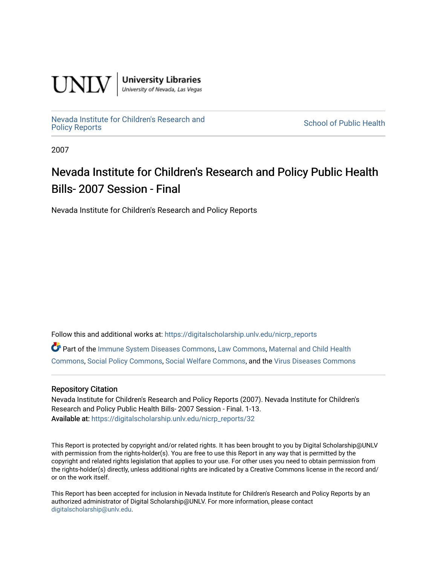

**University Libraries**<br>University of Nevada, Las Vegas

[Nevada Institute for Children's Research and](https://digitalscholarship.unlv.edu/nicrp_reports)

**School of Public Health** 

2007

## Nevada Institute for Children's Research and Policy Public Health Bills- 2007 Session - Final

Nevada Institute for Children's Research and Policy Reports

Follow this and additional works at: [https://digitalscholarship.unlv.edu/nicrp\\_reports](https://digitalscholarship.unlv.edu/nicrp_reports?utm_source=digitalscholarship.unlv.edu%2Fnicrp_reports%2F32&utm_medium=PDF&utm_campaign=PDFCoverPages)

Part of the [Immune System Diseases Commons,](http://network.bepress.com/hgg/discipline/933?utm_source=digitalscholarship.unlv.edu%2Fnicrp_reports%2F32&utm_medium=PDF&utm_campaign=PDFCoverPages) [Law Commons](http://network.bepress.com/hgg/discipline/578?utm_source=digitalscholarship.unlv.edu%2Fnicrp_reports%2F32&utm_medium=PDF&utm_campaign=PDFCoverPages), [Maternal and Child Health](http://network.bepress.com/hgg/discipline/745?utm_source=digitalscholarship.unlv.edu%2Fnicrp_reports%2F32&utm_medium=PDF&utm_campaign=PDFCoverPages)  [Commons](http://network.bepress.com/hgg/discipline/745?utm_source=digitalscholarship.unlv.edu%2Fnicrp_reports%2F32&utm_medium=PDF&utm_campaign=PDFCoverPages), [Social Policy Commons,](http://network.bepress.com/hgg/discipline/1030?utm_source=digitalscholarship.unlv.edu%2Fnicrp_reports%2F32&utm_medium=PDF&utm_campaign=PDFCoverPages) [Social Welfare Commons](http://network.bepress.com/hgg/discipline/401?utm_source=digitalscholarship.unlv.edu%2Fnicrp_reports%2F32&utm_medium=PDF&utm_campaign=PDFCoverPages), and the [Virus Diseases Commons](http://network.bepress.com/hgg/discipline/998?utm_source=digitalscholarship.unlv.edu%2Fnicrp_reports%2F32&utm_medium=PDF&utm_campaign=PDFCoverPages) 

## Repository Citation

Nevada Institute for Children's Research and Policy Reports (2007). Nevada Institute for Children's Research and Policy Public Health Bills- 2007 Session - Final. 1-13. Available at: [https://digitalscholarship.unlv.edu/nicrp\\_reports/32](https://digitalscholarship.unlv.edu/nicrp_reports/32) 

This Report is protected by copyright and/or related rights. It has been brought to you by Digital Scholarship@UNLV with permission from the rights-holder(s). You are free to use this Report in any way that is permitted by the copyright and related rights legislation that applies to your use. For other uses you need to obtain permission from the rights-holder(s) directly, unless additional rights are indicated by a Creative Commons license in the record and/ or on the work itself.

This Report has been accepted for inclusion in Nevada Institute for Children's Research and Policy Reports by an authorized administrator of Digital Scholarship@UNLV. For more information, please contact [digitalscholarship@unlv.edu](mailto:digitalscholarship@unlv.edu).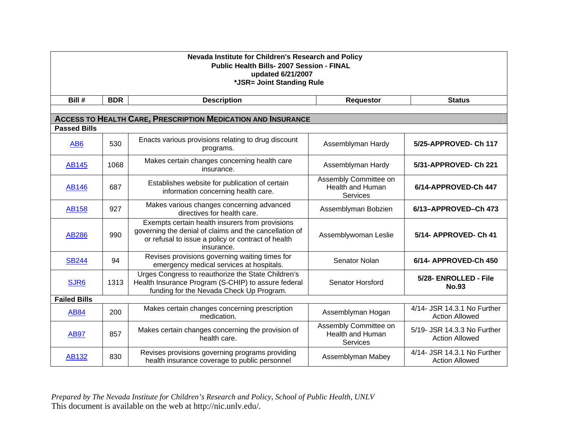| Nevada Institute for Children's Research and Policy<br><b>Public Health Bills- 2007 Session - FINAL</b><br>updated 6/21/2007<br>*JSR= Joint Standing Rule |            |                                                                                                                                                                               |                                                              |                                                      |  |
|-----------------------------------------------------------------------------------------------------------------------------------------------------------|------------|-------------------------------------------------------------------------------------------------------------------------------------------------------------------------------|--------------------------------------------------------------|------------------------------------------------------|--|
| Bill #                                                                                                                                                    | <b>BDR</b> | <b>Description</b>                                                                                                                                                            | <b>Requestor</b>                                             | <b>Status</b>                                        |  |
|                                                                                                                                                           |            | <b>ACCESS TO HEALTH CARE, PRESCRIPTION MEDICATION AND INSURANCE</b>                                                                                                           |                                                              |                                                      |  |
| <b>Passed Bills</b>                                                                                                                                       |            |                                                                                                                                                                               |                                                              |                                                      |  |
| AB <sub>6</sub>                                                                                                                                           | 530        | Enacts various provisions relating to drug discount<br>programs.                                                                                                              | Assemblyman Hardy                                            | 5/25-APPROVED- Ch 117                                |  |
| <b>AB145</b>                                                                                                                                              | 1068       | Makes certain changes concerning health care<br>insurance.                                                                                                                    | Assemblyman Hardy                                            | 5/31-APPROVED- Ch 221                                |  |
| <b>AB146</b>                                                                                                                                              | 687        | Establishes website for publication of certain<br>information concerning health care.                                                                                         | Assembly Committee on<br>Health and Human<br>Services        | 6/14-APPROVED-Ch 447                                 |  |
| <b>AB158</b>                                                                                                                                              | 927        | Makes various changes concerning advanced<br>directives for health care.                                                                                                      | Assemblyman Bobzien                                          | 6/13-APPROVED-Ch 473                                 |  |
| <b>AB286</b>                                                                                                                                              | 990        | Exempts certain health insurers from provisions<br>governing the denial of claims and the cancellation of<br>or refusal to issue a policy or contract of health<br>insurance. | Assemblywoman Leslie                                         | 5/14- APPROVED- Ch 41                                |  |
| <b>SB244</b>                                                                                                                                              | 94         | Revises provisions governing waiting times for<br>emergency medical services at hospitals.                                                                                    | Senator Nolan                                                | 6/14- APPROVED-Ch 450                                |  |
| SJR6                                                                                                                                                      | 1313       | Urges Congress to reauthorize the State Children's<br>Health Insurance Program (S-CHIP) to assure federal<br>funding for the Nevada Check Up Program.                         | Senator Horsford                                             | 5/28- ENROLLED - File<br><b>No.93</b>                |  |
| <b>Failed Bills</b>                                                                                                                                       |            |                                                                                                                                                                               |                                                              |                                                      |  |
| <b>AB84</b>                                                                                                                                               | 200        | Makes certain changes concerning prescription<br>medication.                                                                                                                  | Assemblyman Hogan                                            | 4/14- JSR 14.3.1 No Further<br><b>Action Allowed</b> |  |
| <b>AB97</b>                                                                                                                                               | 857        | Makes certain changes concerning the provision of<br>health care.                                                                                                             | Assembly Committee on<br><b>Health and Human</b><br>Services | 5/19- JSR 14.3.3 No Further<br><b>Action Allowed</b> |  |
| <b>AB132</b>                                                                                                                                              | 830        | Revises provisions governing programs providing<br>health insurance coverage to public personnel                                                                              | Assemblyman Mabey                                            | 4/14- JSR 14.3.1 No Further<br><b>Action Allowed</b> |  |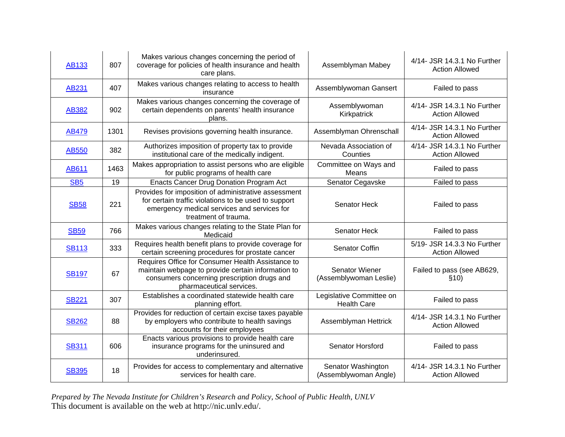| <b>AB133</b> | 807  | Makes various changes concerning the period of<br>coverage for policies of health insurance and health<br>care plans.                                                               | Assemblyman Mabey                              | 4/14- JSR 14.3.1 No Further<br><b>Action Allowed</b> |
|--------------|------|-------------------------------------------------------------------------------------------------------------------------------------------------------------------------------------|------------------------------------------------|------------------------------------------------------|
| AB231        | 407  | Makes various changes relating to access to health<br>insurance                                                                                                                     | Assemblywoman Gansert                          | Failed to pass                                       |
| <b>AB382</b> | 902  | Makes various changes concerning the coverage of<br>certain dependents on parents' health insurance<br>plans.                                                                       | Assemblywoman<br>Kirkpatrick                   | 4/14- JSR 14.3.1 No Further<br><b>Action Allowed</b> |
| <b>AB479</b> | 1301 | Revises provisions governing health insurance.                                                                                                                                      | Assemblyman Ohrenschall                        | 4/14- JSR 14.3.1 No Further<br><b>Action Allowed</b> |
| AB550        | 382  | Authorizes imposition of property tax to provide<br>institutional care of the medically indigent.                                                                                   | Nevada Association of<br>Counties              | 4/14- JSR 14.3.1 No Further<br><b>Action Allowed</b> |
| AB611        | 1463 | Makes appropriation to assist persons who are eligible<br>for public programs of health care                                                                                        | Committee on Ways and<br>Means                 | Failed to pass                                       |
| <b>SB5</b>   | 19   | <b>Enacts Cancer Drug Donation Program Act</b>                                                                                                                                      | Senator Cegavske                               | Failed to pass                                       |
| <b>SB58</b>  | 221  | Provides for imposition of administrative assessment<br>for certain traffic violations to be used to support<br>emergency medical services and services for<br>treatment of trauma. | <b>Senator Heck</b>                            | Failed to pass                                       |
| <b>SB59</b>  | 766  | Makes various changes relating to the State Plan for<br>Medicaid                                                                                                                    | Senator Heck                                   | Failed to pass                                       |
| <b>SB113</b> | 333  | Requires health benefit plans to provide coverage for<br>certain screening procedures for prostate cancer                                                                           | Senator Coffin                                 | 5/19- JSR 14.3.3 No Further<br><b>Action Allowed</b> |
| <b>SB197</b> | 67   | Requires Office for Consumer Health Assistance to<br>maintain webpage to provide certain information to<br>consumers concerning prescription drugs and<br>pharmaceutical services.  | Senator Wiener<br>(Assemblywoman Leslie)       | Failed to pass (see AB629,<br>\$10)                  |
| <b>SB221</b> | 307  | Establishes a coordinated statewide health care<br>planning effort.                                                                                                                 | Legislative Committee on<br><b>Health Care</b> | Failed to pass                                       |
| <b>SB262</b> | 88   | Provides for reduction of certain excise taxes payable<br>by employers who contribute to health savings<br>accounts for their employees                                             | Assemblyman Hettrick                           | 4/14- JSR 14.3.1 No Further<br><b>Action Allowed</b> |
| <b>SB311</b> | 606  | Enacts various provisions to provide health care<br>insurance programs for the uninsured and<br>underinsured.                                                                       | <b>Senator Horsford</b>                        | Failed to pass                                       |
| <b>SB395</b> | 18   | Provides for access to complementary and alternative<br>services for health care.                                                                                                   | Senator Washington<br>(Assemblywoman Angle)    | 4/14- JSR 14.3.1 No Further<br><b>Action Allowed</b> |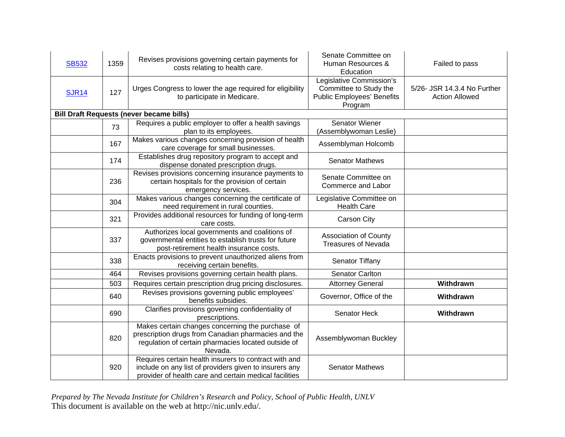| <b>SB532</b> | 1359 | Revises provisions governing certain payments for<br>costs relating to health care.                                                                                       | Senate Committee on<br>Human Resources &<br>Education                                              | Failed to pass                                       |
|--------------|------|---------------------------------------------------------------------------------------------------------------------------------------------------------------------------|----------------------------------------------------------------------------------------------------|------------------------------------------------------|
| <b>SJR14</b> | 127  | Urges Congress to lower the age required for eligibility<br>to participate in Medicare.                                                                                   | Legislative Commission's<br>Committee to Study the<br><b>Public Employees' Benefits</b><br>Program | 5/26- JSR 14.3.4 No Further<br><b>Action Allowed</b> |
|              |      | <b>Bill Draft Requests (never became bills)</b>                                                                                                                           |                                                                                                    |                                                      |
|              | 73   | Requires a public employer to offer a health savings<br>plan to its employees.                                                                                            | Senator Wiener<br>(Assemblywoman Leslie)                                                           |                                                      |
|              | 167  | Makes various changes concerning provision of health<br>care coverage for small businesses.                                                                               | Assemblyman Holcomb                                                                                |                                                      |
|              | 174  | Establishes drug repository program to accept and<br>dispense donated prescription drugs.                                                                                 | <b>Senator Mathews</b>                                                                             |                                                      |
|              | 236  | Revises provisions concerning insurance payments to<br>certain hospitals for the provision of certain<br>emergency services.                                              | Senate Committee on<br>Commerce and Labor                                                          |                                                      |
|              | 304  | Makes various changes concerning the certificate of<br>need requirement in rural counties.                                                                                | Legislative Committee on<br><b>Health Care</b>                                                     |                                                      |
|              | 321  | Provides additional resources for funding of long-term<br>care costs.                                                                                                     | Carson City                                                                                        |                                                      |
|              | 337  | Authorizes local governments and coalitions of<br>governmental entities to establish trusts for future<br>post-retirement health insurance costs.                         | <b>Association of County</b><br><b>Treasures of Nevada</b>                                         |                                                      |
|              | 338  | Enacts provisions to prevent unauthorized aliens from<br>receiving certain benefits.                                                                                      | Senator Tiffany                                                                                    |                                                      |
|              | 464  | Revises provisions governing certain health plans.                                                                                                                        | <b>Senator Carlton</b>                                                                             |                                                      |
|              | 503  | Requires certain prescription drug pricing disclosures.                                                                                                                   | <b>Attorney General</b>                                                                            | Withdrawn                                            |
|              | 640  | Revises provisions governing public employees'<br>benefits subsidies.                                                                                                     | Governor, Office of the                                                                            | Withdrawn                                            |
|              | 690  | Clarifies provisions governing confidentiality of<br>prescriptions.                                                                                                       | Senator Heck                                                                                       | Withdrawn                                            |
|              | 820  | Makes certain changes concerning the purchase of<br>prescription drugs from Canadian pharmacies and the<br>regulation of certain pharmacies located outside of<br>Nevada. | Assemblywoman Buckley                                                                              |                                                      |
|              | 920  | Requires certain health insurers to contract with and<br>include on any list of providers given to insurers any<br>provider of health care and certain medical facilities | <b>Senator Mathews</b>                                                                             |                                                      |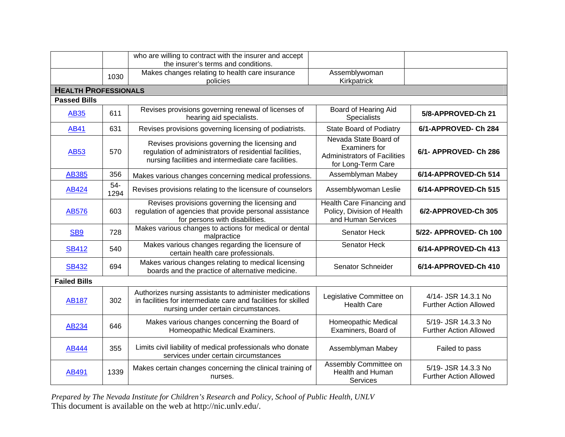|                             |               | who are willing to contract with the insurer and accept<br>the insurer's terms and conditions.                                                                    |                                                                                                            |                                                      |
|-----------------------------|---------------|-------------------------------------------------------------------------------------------------------------------------------------------------------------------|------------------------------------------------------------------------------------------------------------|------------------------------------------------------|
|                             | 1030          | Makes changes relating to health care insurance<br>policies                                                                                                       | Assemblywoman<br>Kirkpatrick                                                                               |                                                      |
| <b>HEALTH PROFESSIONALS</b> |               |                                                                                                                                                                   |                                                                                                            |                                                      |
| <b>Passed Bills</b>         |               |                                                                                                                                                                   |                                                                                                            |                                                      |
| <b>AB35</b>                 | 611           | Revises provisions governing renewal of licenses of<br>hearing aid specialists.                                                                                   | Board of Hearing Aid<br>Specialists                                                                        | 5/8-APPROVED-Ch 21                                   |
| <b>AB41</b>                 | 631           | Revises provisions governing licensing of podiatrists.                                                                                                            | <b>State Board of Podiatry</b>                                                                             | 6/1-APPROVED- Ch 284                                 |
| <b>AB53</b>                 | 570           | Revises provisions governing the licensing and<br>regulation of administrators of residential facilities,<br>nursing facilities and intermediate care facilities. | Nevada State Board of<br><b>Examiners for</b><br><b>Administrators of Facilities</b><br>for Long-Term Care | 6/1- APPROVED- Ch 286                                |
| <b>AB385</b>                | 356           | Makes various changes concerning medical professions.                                                                                                             | Assemblyman Mabey                                                                                          | 6/14-APPROVED-Ch 514                                 |
| AB424                       | $54-$<br>1294 | Revises provisions relating to the licensure of counselors                                                                                                        | Assemblywoman Leslie                                                                                       | 6/14-APPROVED-Ch 515                                 |
| <b>AB576</b>                | 603           | Revises provisions governing the licensing and<br>regulation of agencies that provide personal assistance<br>for persons with disabilities.                       | Health Care Financing and<br>Policy, Division of Health<br>and Human Services                              | 6/2-APPROVED-Ch 305                                  |
| SB <sub>9</sub>             | 728           | Makes various changes to actions for medical or dental<br>malpractice                                                                                             | Senator Heck                                                                                               | 5/22- APPROVED- Ch 100                               |
| <b>SB412</b>                | 540           | Makes various changes regarding the licensure of<br>certain health care professionals.                                                                            | Senator Heck                                                                                               | 6/14-APPROVED-Ch 413                                 |
| <b>SB432</b>                | 694           | Makes various changes relating to medical licensing<br>boards and the practice of alternative medicine.                                                           | Senator Schneider                                                                                          | 6/14-APPROVED-Ch 410                                 |
| <b>Failed Bills</b>         |               |                                                                                                                                                                   |                                                                                                            |                                                      |
| <b>AB187</b>                | 302           | Authorizes nursing assistants to administer medications<br>in facilities for intermediate care and facilities for skilled<br>nursing under certain circumstances. | Legislative Committee on<br><b>Health Care</b>                                                             | 4/14- JSR 14.3.1 No<br><b>Further Action Allowed</b> |
| <b>AB234</b>                | 646           | Makes various changes concerning the Board of<br>Homeopathic Medical Examiners.                                                                                   | Homeopathic Medical<br>Examiners, Board of                                                                 | 5/19- JSR 14.3.3 No<br><b>Further Action Allowed</b> |
| <b>AB444</b>                | 355           | Limits civil liability of medical professionals who donate<br>services under certain circumstances                                                                | Assemblyman Mabey                                                                                          | Failed to pass                                       |
| <b>AB491</b>                | 1339          | Makes certain changes concerning the clinical training of<br>nurses.                                                                                              | Assembly Committee on<br>Health and Human<br>Services                                                      | 5/19- JSR 14.3.3 No<br><b>Further Action Allowed</b> |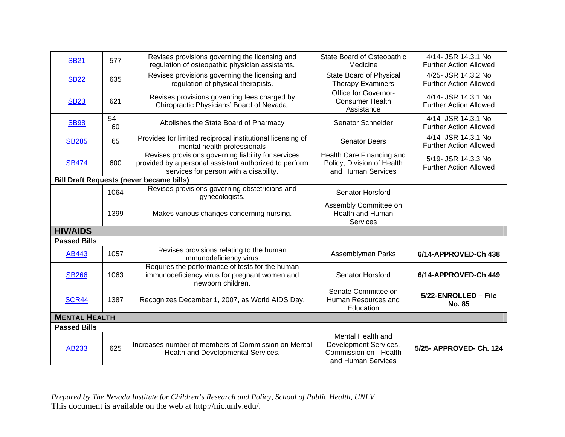| <b>SB21</b>          | 577         | Revises provisions governing the licensing and<br>regulation of osteopathic physician assistants.                                                       | State Board of Osteopathic<br>Medicine                                                     | 4/14- JSR 14.3.1 No<br><b>Further Action Allowed</b> |
|----------------------|-------------|---------------------------------------------------------------------------------------------------------------------------------------------------------|--------------------------------------------------------------------------------------------|------------------------------------------------------|
| <b>SB22</b>          | 635         | Revises provisions governing the licensing and<br>regulation of physical therapists.                                                                    | State Board of Physical<br><b>Therapy Examiners</b>                                        | 4/25- JSR 14.3.2 No<br><b>Further Action Allowed</b> |
| <b>SB23</b>          | 621         | Revises provisions governing fees charged by<br>Chiropractic Physicians' Board of Nevada.                                                               | Office for Governor-<br><b>Consumer Health</b><br>Assistance                               | 4/14- JSR 14.3.1 No<br><b>Further Action Allowed</b> |
| <b>SB98</b>          | $54-$<br>60 | Abolishes the State Board of Pharmacy                                                                                                                   | Senator Schneider                                                                          | 4/14- JSR 14.3.1 No<br><b>Further Action Allowed</b> |
| <b>SB285</b>         | 65          | Provides for limited reciprocal institutional licensing of<br>mental health professionals                                                               | <b>Senator Beers</b>                                                                       | 4/14- JSR 14.3.1 No<br><b>Further Action Allowed</b> |
| <b>SB474</b>         | 600         | Revises provisions governing liability for services<br>provided by a personal assistant authorized to perform<br>services for person with a disability. | Health Care Financing and<br>Policy, Division of Health<br>and Human Services              | 5/19- JSR 14.3.3 No<br><b>Further Action Allowed</b> |
|                      |             | <b>Bill Draft Requests (never became bills)</b>                                                                                                         |                                                                                            |                                                      |
|                      | 1064        | Revises provisions governing obstetricians and<br>gynecologists.                                                                                        | <b>Senator Horsford</b>                                                                    |                                                      |
|                      | 1399        | Makes various changes concerning nursing.                                                                                                               | Assembly Committee on<br>Health and Human<br>Services                                      |                                                      |
| <b>HIV/AIDS</b>      |             |                                                                                                                                                         |                                                                                            |                                                      |
| <b>Passed Bills</b>  |             |                                                                                                                                                         |                                                                                            |                                                      |
| AB443                | 1057        | Revises provisions relating to the human<br>immunodeficiency virus.                                                                                     | Assemblyman Parks                                                                          | 6/14-APPROVED-Ch 438                                 |
| <b>SB266</b>         | 1063        | Requires the performance of tests for the human<br>immunodeficiency virus for pregnant women and<br>newborn children.                                   | Senator Horsford                                                                           | 6/14-APPROVED-Ch 449                                 |
| <b>SCR44</b>         | 1387        | Recognizes December 1, 2007, as World AIDS Day.                                                                                                         | Senate Committee on<br>Human Resources and<br>Education                                    | 5/22-ENROLLED - File<br><b>No. 85</b>                |
| <b>MENTAL HEALTH</b> |             |                                                                                                                                                         |                                                                                            |                                                      |
| <b>Passed Bills</b>  |             |                                                                                                                                                         |                                                                                            |                                                      |
| AB233                | 625         | Increases number of members of Commission on Mental<br>Health and Developmental Services.                                                               | Mental Health and<br>Development Services,<br>Commission on - Health<br>and Human Services | 5/25- APPROVED- Ch. 124                              |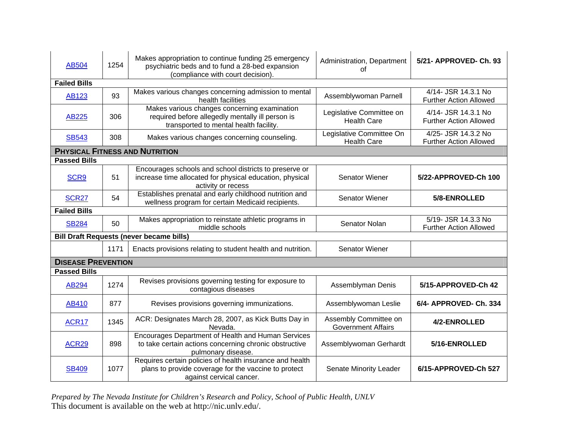| AB504                     | 1254 | Makes appropriation to continue funding 25 emergency<br>psychiatric beds and to fund a 28-bed expansion<br>(compliance with court decision). | Administration, Department<br>οf                   | 5/21- APPROVED- Ch. 93                               |
|---------------------------|------|----------------------------------------------------------------------------------------------------------------------------------------------|----------------------------------------------------|------------------------------------------------------|
| <b>Failed Bills</b>       |      |                                                                                                                                              |                                                    |                                                      |
| <b>AB123</b>              | 93   | Makes various changes concerning admission to mental<br>health facilities                                                                    | Assemblywoman Parnell                              | 4/14- JSR 14.3.1 No<br><b>Further Action Allowed</b> |
| <b>AB225</b>              | 306  | Makes various changes concerning examination<br>required before allegedly mentally ill person is<br>transported to mental health facility.   | Legislative Committee on<br><b>Health Care</b>     | 4/14- JSR 14.3.1 No<br><b>Further Action Allowed</b> |
| <b>SB543</b>              | 308  | Makes various changes concerning counseling.                                                                                                 | Legislative Committee On<br><b>Health Care</b>     | 4/25- JSR 14.3.2 No<br><b>Further Action Allowed</b> |
|                           |      | <b>PHYSICAL FITNESS AND NUTRITION</b>                                                                                                        |                                                    |                                                      |
| <b>Passed Bills</b>       |      |                                                                                                                                              |                                                    |                                                      |
| SCR9                      | 51   | Encourages schools and school districts to preserve or<br>increase time allocated for physical education, physical<br>activity or recess     | <b>Senator Wiener</b>                              | 5/22-APPROVED-Ch 100                                 |
| <b>SCR27</b>              | 54   | Establishes prenatal and early childhood nutrition and<br>wellness program for certain Medicaid recipients.                                  | Senator Wiener                                     | 5/8-ENROLLED                                         |
| <b>Failed Bills</b>       |      |                                                                                                                                              |                                                    |                                                      |
| <b>SB284</b>              | 50   | Makes appropriation to reinstate athletic programs in<br>middle schools                                                                      | Senator Nolan                                      | 5/19- JSR 14.3.3 No<br><b>Further Action Allowed</b> |
|                           |      | <b>Bill Draft Requests (never became bills)</b>                                                                                              |                                                    |                                                      |
|                           | 1171 | Enacts provisions relating to student health and nutrition.                                                                                  | <b>Senator Wiener</b>                              |                                                      |
| <b>DISEASE PREVENTION</b> |      |                                                                                                                                              |                                                    |                                                      |
| <b>Passed Bills</b>       |      |                                                                                                                                              |                                                    |                                                      |
| <b>AB294</b>              | 1274 | Revises provisions governing testing for exposure to<br>contagious diseases                                                                  | Assemblyman Denis                                  | 5/15-APPROVED-Ch 42                                  |
| AB410                     | 877  | Revises provisions governing immunizations.                                                                                                  | Assemblywoman Leslie                               | 6/4- APPROVED- Ch. 334                               |
| <b>ACR17</b>              | 1345 | ACR: Designates March 28, 2007, as Kick Butts Day in<br>Nevada.                                                                              | Assembly Committee on<br><b>Government Affairs</b> | 4/2-ENROLLED                                         |
| <b>ACR29</b>              | 898  | Encourages Department of Health and Human Services<br>to take certain actions concerning chronic obstructive<br>pulmonary disease.           | Assemblywoman Gerhardt                             | 5/16-ENROLLED                                        |
| <b>SB409</b>              | 1077 | Requires certain policies of health insurance and health<br>plans to provide coverage for the vaccine to protect<br>against cervical cancer. | Senate Minority Leader                             | 6/15-APPROVED-Ch 527                                 |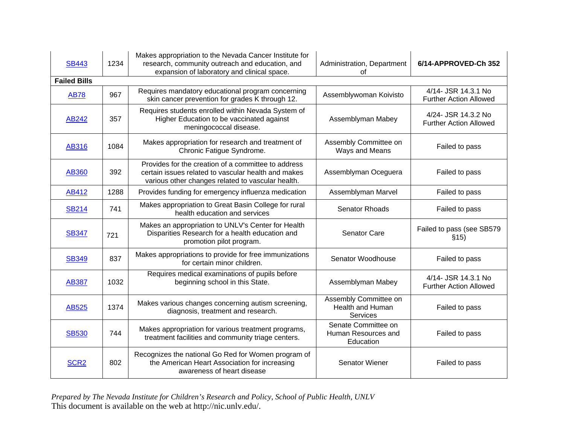| <b>SB443</b>        | 1234 | Makes appropriation to the Nevada Cancer Institute for<br>research, community outreach and education, and<br>expansion of laboratory and clinical space.        | Administration, Department<br>οf                             | 6/14-APPROVED-Ch 352                                 |
|---------------------|------|-----------------------------------------------------------------------------------------------------------------------------------------------------------------|--------------------------------------------------------------|------------------------------------------------------|
| <b>Failed Bills</b> |      |                                                                                                                                                                 |                                                              |                                                      |
| <b>AB78</b>         | 967  | Requires mandatory educational program concerning<br>skin cancer prevention for grades K through 12.                                                            | Assemblywoman Koivisto                                       | 4/14- JSR 14.3.1 No<br><b>Further Action Allowed</b> |
| AB242               | 357  | Requires students enrolled within Nevada System of<br>Higher Education to be vaccinated against<br>meningococcal disease.                                       | Assemblyman Mabey                                            | 4/24- JSR 14.3.2 No<br><b>Further Action Allowed</b> |
| AB316               | 1084 | Makes appropriation for research and treatment of<br>Chronic Fatigue Syndrome.                                                                                  | Assembly Committee on<br>Ways and Means                      | Failed to pass                                       |
| <b>AB360</b>        | 392  | Provides for the creation of a committee to address<br>certain issues related to vascular health and makes<br>various other changes related to vascular health. | Assemblyman Oceguera                                         | Failed to pass                                       |
| AB412               | 1288 | Provides funding for emergency influenza medication                                                                                                             | Assemblyman Marvel                                           | Failed to pass                                       |
| <b>SB214</b>        | 741  | Makes appropriation to Great Basin College for rural<br>health education and services                                                                           | <b>Senator Rhoads</b>                                        | Failed to pass                                       |
| <b>SB347</b>        | 721  | Makes an appropriation to UNLV's Center for Health<br>Disparities Research for a health education and<br>promotion pilot program.                               | Senator Care                                                 | Failed to pass (see SB579<br>\$15)                   |
| <b>SB349</b>        | 837  | Makes appropriations to provide for free immunizations<br>for certain minor children.                                                                           | Senator Woodhouse                                            | Failed to pass                                       |
| <b>AB387</b>        | 1032 | Requires medical examinations of pupils before<br>beginning school in this State.                                                                               | Assemblyman Mabey                                            | 4/14- JSR 14.3.1 No<br><b>Further Action Allowed</b> |
| AB525               | 1374 | Makes various changes concerning autism screening,<br>diagnosis, treatment and research.                                                                        | Assembly Committee on<br><b>Health and Human</b><br>Services | Failed to pass                                       |
| <b>SB530</b>        | 744  | Makes appropriation for various treatment programs,<br>treatment facilities and community triage centers.                                                       | Senate Committee on<br>Human Resources and<br>Education      | Failed to pass                                       |
| SCR <sub>2</sub>    | 802  | Recognizes the national Go Red for Women program of<br>the American Heart Association for increasing<br>awareness of heart disease                              | Senator Wiener                                               | Failed to pass                                       |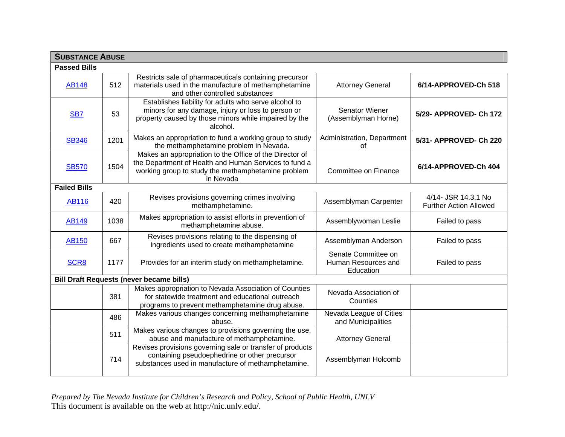|                     | <b>SUBSTANCE ABUSE</b> |                                                                                                                                                                                     |                                                         |                                                      |  |
|---------------------|------------------------|-------------------------------------------------------------------------------------------------------------------------------------------------------------------------------------|---------------------------------------------------------|------------------------------------------------------|--|
| <b>Passed Bills</b> |                        |                                                                                                                                                                                     |                                                         |                                                      |  |
| <b>AB148</b>        | 512                    | Restricts sale of pharmaceuticals containing precursor<br>materials used in the manufacture of methamphetamine<br>and other controlled substances                                   | <b>Attorney General</b>                                 | 6/14-APPROVED-Ch 518                                 |  |
| SB <sub>7</sub>     | 53                     | Establishes liability for adults who serve alcohol to<br>minors for any damage, injury or loss to person or<br>property caused by those minors while impaired by the<br>alcohol.    | Senator Wiener<br>(Assemblyman Horne)                   | 5/29- APPROVED- Ch 172                               |  |
| <b>SB346</b>        | 1201                   | Makes an appropriation to fund a working group to study<br>the methamphetamine problem in Nevada.                                                                                   | Administration, Department<br>of                        | 5/31- APPROVED- Ch 220                               |  |
| <b>SB570</b>        | 1504                   | Makes an appropriation to the Office of the Director of<br>the Department of Health and Human Services to fund a<br>working group to study the methamphetamine problem<br>in Nevada | Committee on Finance                                    | 6/14-APPROVED-Ch 404                                 |  |
| <b>Failed Bills</b> |                        |                                                                                                                                                                                     |                                                         |                                                      |  |
| <b>AB116</b>        | 420                    | Revises provisions governing crimes involving<br>methamphetamine.                                                                                                                   | Assemblyman Carpenter                                   | 4/14- JSR 14.3.1 No<br><b>Further Action Allowed</b> |  |
| <b>AB149</b>        | 1038                   | Makes appropriation to assist efforts in prevention of<br>methamphetamine abuse.                                                                                                    | Assemblywoman Leslie                                    | Failed to pass                                       |  |
| <b>AB150</b>        | 667                    | Revises provisions relating to the dispensing of<br>ingredients used to create methamphetamine                                                                                      | Assemblyman Anderson                                    | Failed to pass                                       |  |
| SCR <sub>8</sub>    | 1177                   | Provides for an interim study on methamphetamine.                                                                                                                                   | Senate Committee on<br>Human Resources and<br>Education | Failed to pass                                       |  |
|                     |                        | <b>Bill Draft Requests (never became bills)</b>                                                                                                                                     |                                                         |                                                      |  |
|                     | 381                    | Makes appropriation to Nevada Association of Counties<br>for statewide treatment and educational outreach<br>programs to prevent methamphetamine drug abuse.                        | Nevada Association of<br>Counties                       |                                                      |  |
|                     | 486                    | Makes various changes concerning methamphetamine<br>abuse.                                                                                                                          | Nevada League of Cities<br>and Municipalities           |                                                      |  |
|                     | 511                    | Makes various changes to provisions governing the use,<br>abuse and manufacture of methamphetamine.                                                                                 | <b>Attorney General</b>                                 |                                                      |  |
|                     | 714                    | Revises provisions governing sale or transfer of products<br>containing pseudoephedrine or other precursor<br>substances used in manufacture of methamphetamine.                    | Assemblyman Holcomb                                     |                                                      |  |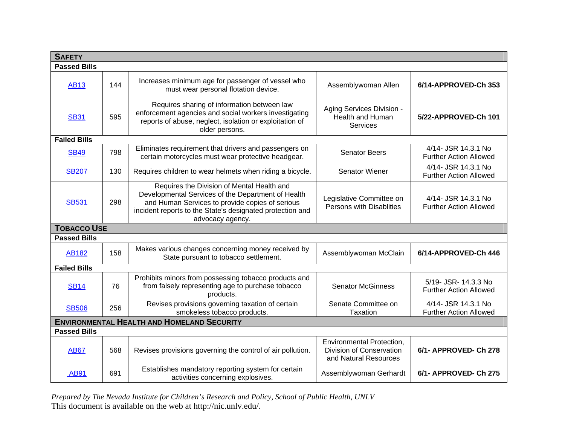| <b>SAFETY</b>                                     |     |                                                                                                                                                                                                                                      |                                                                                       |                                                       |
|---------------------------------------------------|-----|--------------------------------------------------------------------------------------------------------------------------------------------------------------------------------------------------------------------------------------|---------------------------------------------------------------------------------------|-------------------------------------------------------|
| <b>Passed Bills</b>                               |     |                                                                                                                                                                                                                                      |                                                                                       |                                                       |
| <b>AB13</b>                                       | 144 | Increases minimum age for passenger of vessel who<br>must wear personal flotation device.                                                                                                                                            | Assemblywoman Allen                                                                   | 6/14-APPROVED-Ch 353                                  |
| <b>SB31</b>                                       | 595 | Requires sharing of information between law<br>enforcement agencies and social workers investigating<br>reports of abuse, neglect, isolation or exploitation of<br>older persons.                                                    | Aging Services Division -<br>Health and Human<br>Services                             | 5/22-APPROVED-Ch 101                                  |
| <b>Failed Bills</b>                               |     |                                                                                                                                                                                                                                      |                                                                                       |                                                       |
| <b>SB49</b>                                       | 798 | Eliminates requirement that drivers and passengers on<br>certain motorcycles must wear protective headgear.                                                                                                                          | <b>Senator Beers</b>                                                                  | 4/14- JSR 14.3.1 No<br><b>Further Action Allowed</b>  |
| <b>SB207</b>                                      | 130 | Requires children to wear helmets when riding a bicycle.                                                                                                                                                                             | <b>Senator Wiener</b>                                                                 | 4/14- JSR 14.3.1 No<br><b>Further Action Allowed</b>  |
| <b>SB531</b>                                      | 298 | Requires the Division of Mental Health and<br>Developmental Services of the Department of Health<br>and Human Services to provide copies of serious<br>incident reports to the State's designated protection and<br>advocacy agency. | Legislative Committee on<br>Persons with Disablities                                  | 4/14- JSR 14.3.1 No<br><b>Further Action Allowed</b>  |
| <b>TOBACCO USE</b>                                |     |                                                                                                                                                                                                                                      |                                                                                       |                                                       |
| <b>Passed Bills</b>                               |     |                                                                                                                                                                                                                                      |                                                                                       |                                                       |
| <b>AB182</b>                                      | 158 | Makes various changes concerning money received by<br>State pursuant to tobacco settlement.                                                                                                                                          | Assemblywoman McClain                                                                 | 6/14-APPROVED-Ch 446                                  |
| <b>Failed Bills</b>                               |     |                                                                                                                                                                                                                                      |                                                                                       |                                                       |
| <b>SB14</b>                                       | 76  | Prohibits minors from possessing tobacco products and<br>from falsely representing age to purchase tobacco<br>products.                                                                                                              | <b>Senator McGinness</b>                                                              | 5/19- JSR- 14.3.3 No<br><b>Further Action Allowed</b> |
| <b>SB506</b>                                      | 256 | Revises provisions governing taxation of certain<br>smokeless tobacco products.                                                                                                                                                      | Senate Committee on<br><b>Taxation</b>                                                | 4/14- JSR 14.3.1 No<br><b>Further Action Allowed</b>  |
| <b>ENVIRONMENTAL HEALTH AND HOMELAND SECURITY</b> |     |                                                                                                                                                                                                                                      |                                                                                       |                                                       |
| <b>Passed Bills</b>                               |     |                                                                                                                                                                                                                                      |                                                                                       |                                                       |
| <b>AB67</b>                                       | 568 | Revises provisions governing the control of air pollution.                                                                                                                                                                           | <b>Environmental Protection,</b><br>Division of Conservation<br>and Natural Resources | 6/1- APPROVED- Ch 278                                 |
| <b>AB91</b>                                       | 691 | Establishes mandatory reporting system for certain<br>activities concerning explosives.                                                                                                                                              | Assemblywoman Gerhardt                                                                | 6/1- APPROVED- Ch 275                                 |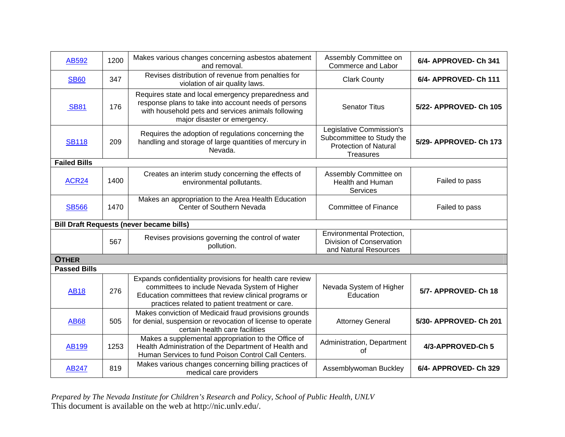| AB592               | 1200 | Makes various changes concerning asbestos abatement<br>and removal.                                                                                                                                                    | Assembly Committee on<br>Commerce and Labor                                                               | 6/4- APPROVED- Ch 341  |
|---------------------|------|------------------------------------------------------------------------------------------------------------------------------------------------------------------------------------------------------------------------|-----------------------------------------------------------------------------------------------------------|------------------------|
| <b>SB60</b>         | 347  | Revises distribution of revenue from penalties for<br>violation of air quality laws.                                                                                                                                   | <b>Clark County</b>                                                                                       | 6/4- APPROVED- Ch 111  |
| <b>SB81</b>         | 176  | Requires state and local emergency preparedness and<br>response plans to take into account needs of persons<br>with household pets and services animals following<br>major disaster or emergency.                      | <b>Senator Titus</b>                                                                                      | 5/22- APPROVED- Ch 105 |
| <b>SB118</b>        | 209  | Requires the adoption of regulations concerning the<br>handling and storage of large quantities of mercury in<br>Nevada.                                                                                               | Legislative Commission's<br>Subcommittee to Study the<br><b>Protection of Natural</b><br><b>Treasures</b> | 5/29- APPROVED- Ch 173 |
| <b>Failed Bills</b> |      |                                                                                                                                                                                                                        |                                                                                                           |                        |
| <b>ACR24</b>        | 1400 | Creates an interim study concerning the effects of<br>environmental pollutants.                                                                                                                                        | Assembly Committee on<br><b>Health and Human</b><br>Services                                              | Failed to pass         |
| <b>SB566</b>        | 1470 | Makes an appropriation to the Area Health Education<br>Center of Southern Nevada                                                                                                                                       | <b>Committee of Finance</b>                                                                               | Failed to pass         |
|                     |      | <b>Bill Draft Requests (never became bills)</b>                                                                                                                                                                        |                                                                                                           |                        |
|                     | 567  | Revises provisions governing the control of water<br>pollution.                                                                                                                                                        | <b>Environmental Protection,</b><br>Division of Conservation<br>and Natural Resources                     |                        |
| <b>OTHER</b>        |      |                                                                                                                                                                                                                        |                                                                                                           |                        |
| <b>Passed Bills</b> |      |                                                                                                                                                                                                                        |                                                                                                           |                        |
| <b>AB18</b>         | 276  | Expands confidentiality provisions for health care review<br>committees to include Nevada System of Higher<br>Education committees that review clinical programs or<br>practices related to patient treatment or care. | Nevada System of Higher<br>Education                                                                      | 5/7- APPROVED- Ch 18   |
| <b>AB68</b>         | 505  | Makes conviction of Medicaid fraud provisions grounds<br>for denial, suspension or revocation of license to operate<br>certain health care facilities                                                                  | <b>Attorney General</b>                                                                                   | 5/30- APPROVED- Ch 201 |
| AB199               | 1253 | Makes a supplemental appropriation to the Office of<br>Health Administration of the Department of Health and<br>Human Services to fund Poison Control Call Centers.                                                    | Administration, Department<br>οf                                                                          | 4/3-APPROVED-Ch 5      |
| <b>AB247</b>        | 819  | Makes various changes concerning billing practices of<br>medical care providers                                                                                                                                        | Assemblywoman Buckley                                                                                     | 6/4- APPROVED- Ch 329  |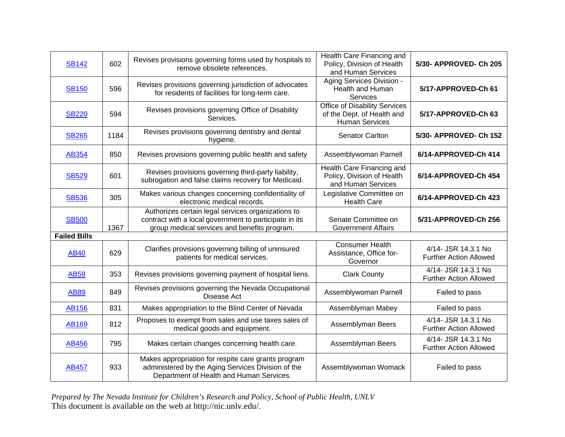| <b>SB142</b>        | 602  | Revises provisions governing forms used by hospitals to<br>remove obsolete references.                                                                       | Health Care Financing and<br>Policy, Division of Health<br>and Human Services               | 5/30- APPROVED- Ch 205                               |
|---------------------|------|--------------------------------------------------------------------------------------------------------------------------------------------------------------|---------------------------------------------------------------------------------------------|------------------------------------------------------|
| <b>SB150</b>        | 596  | Revises provisions governing jurisdiction of advocates<br>for residents of facilities for long-term care.                                                    | Aging Services Division -<br>Health and Human<br>Services                                   | 5/17-APPROVED-Ch 61                                  |
| <b>SB220</b>        | 594  | Revises provisions governing Office of Disability<br>Services.                                                                                               | <b>Office of Disability Services</b><br>of the Dept. of Health and<br><b>Human Services</b> | 5/17-APPROVED-Ch 63                                  |
| <b>SB265</b>        | 1184 | Revises provisions governing dentistry and dental<br>hygiene.                                                                                                | <b>Senator Carlton</b>                                                                      | 5/30- APPROVED- Ch 152                               |
| AB354               | 850  | Revises provisions governing public health and safety                                                                                                        | Assemblywoman Parnell                                                                       | 6/14-APPROVED-Ch 414                                 |
| <b>SB529</b>        | 601  | Revises provisions governing third-party liability,<br>subrogation and false claims recovery for Medicaid.                                                   | Health Care Financing and<br>Policy, Division of Health<br>and Human Services               | 6/14-APPROVED-Ch 454                                 |
| <b>SB536</b>        | 305  | Makes various changes concerning confidentiality of<br>electronic medical records.                                                                           | Legislative Committee on<br><b>Health Care</b>                                              | 6/14-APPROVED-Ch 423                                 |
| <b>SB500</b>        | 1367 | Authorizes certain legal services organizations to<br>contract with a local government to participate in its<br>group medical services and benefits program. | Senate Committee on<br><b>Government Affairs</b>                                            | 5/31-APPROVED-Ch 256                                 |
| <b>Failed Bills</b> |      |                                                                                                                                                              |                                                                                             |                                                      |
| <b>AB40</b>         | 629  | Clarifies provisions governing billing of uninsured<br>patients for medical services.                                                                        | <b>Consumer Health</b><br>Assistance, Office for-<br>Governor                               | 4/14- JSR 14.3.1 No<br><b>Further Action Allowed</b> |
| <b>AB59</b>         | 353  | Revises provisions governing payment of hospital liens.                                                                                                      | <b>Clark County</b>                                                                         | 4/14- JSR 14.3.1 No<br><b>Further Action Allowed</b> |
| <b>AB89</b>         | 849  | Revises provisions governing the Nevada Occupational<br>Disease Act                                                                                          | Assemblywoman Parnell                                                                       | Failed to pass                                       |
| <b>AB156</b>        | 831  | Makes appropriation to the Blind Center of Nevada                                                                                                            | Assemblyman Mabey                                                                           | Failed to pass                                       |
| <b>AB169</b>        | 812  | Proposes to exempt from sales and use taxes sales of<br>medical goods and equipment.                                                                         | Assemblyman Beers                                                                           | 4/14- JSR 14.3.1 No<br><b>Further Action Allowed</b> |
| AB456               | 795  | Makes certain changes concerning health care.                                                                                                                | Assemblyman Beers                                                                           | 4/14- JSR 14.3.1 No<br><b>Further Action Allowed</b> |
| <b>AB457</b>        | 933  | Makes appropriation for respite care grants program<br>administered by the Aging Services Division of the<br>Department of Health and Human Services.        | Assemblywoman Womack                                                                        | Failed to pass                                       |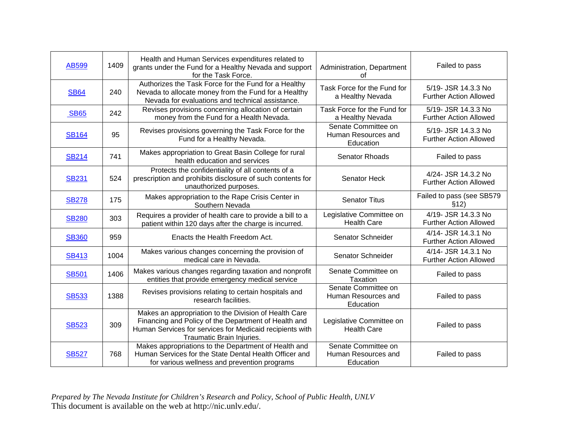| <b>AB599</b> | 1409 | Health and Human Services expenditures related to<br>grants under the Fund for a Healthy Nevada and support<br>for the Task Force.                                                                     | Administration, Department<br>οf                        | Failed to pass                                       |
|--------------|------|--------------------------------------------------------------------------------------------------------------------------------------------------------------------------------------------------------|---------------------------------------------------------|------------------------------------------------------|
| <b>SB64</b>  | 240  | Authorizes the Task Force for the Fund for a Healthy<br>Nevada to allocate money from the Fund for a Healthy<br>Nevada for evaluations and technical assistance.                                       | Task Force for the Fund for<br>a Healthy Nevada         | 5/19- JSR 14.3.3 No<br><b>Further Action Allowed</b> |
| <b>SB65</b>  | 242  | Revises provisions concerning allocation of certain<br>money from the Fund for a Health Nevada.                                                                                                        | Task Force for the Fund for<br>a Healthy Nevada         | 5/19- JSR 14.3.3 No<br><b>Further Action Allowed</b> |
| <b>SB164</b> | 95   | Revises provisions governing the Task Force for the<br>Fund for a Healthy Nevada.                                                                                                                      | Senate Committee on<br>Human Resources and<br>Education | 5/19- JSR 14.3.3 No<br><b>Further Action Allowed</b> |
| <b>SB214</b> | 741  | Makes appropriation to Great Basin College for rural<br>health education and services                                                                                                                  | <b>Senator Rhoads</b>                                   | Failed to pass                                       |
| <b>SB231</b> | 524  | Protects the confidentiality of all contents of a<br>prescription and prohibits disclosure of such contents for<br>unauthorized purposes.                                                              | Senator Heck                                            | 4/24- JSR 14.3.2 No<br><b>Further Action Allowed</b> |
| <b>SB278</b> | 175  | Makes appropriation to the Rape Crisis Center in<br>Southern Nevada                                                                                                                                    | <b>Senator Titus</b>                                    | Failed to pass (see SB579<br>\$12)                   |
| <b>SB280</b> | 303  | Requires a provider of health care to provide a bill to a<br>patient within 120 days after the charge is incurred.                                                                                     | Legislative Committee on<br><b>Health Care</b>          | 4/19- JSR 14.3.3 No<br><b>Further Action Allowed</b> |
| <b>SB360</b> | 959  | Enacts the Health Freedom Act.                                                                                                                                                                         | Senator Schneider                                       | 4/14- JSR 14.3.1 No<br><b>Further Action Allowed</b> |
| <b>SB413</b> | 1004 | Makes various changes concerning the provision of<br>medical care in Nevada.                                                                                                                           | Senator Schneider                                       | 4/14- JSR 14.3.1 No<br><b>Further Action Allowed</b> |
| <b>SB501</b> | 1406 | Makes various changes regarding taxation and nonprofit<br>entities that provide emergency medical service                                                                                              | Senate Committee on<br>Taxation                         | Failed to pass                                       |
| <b>SB533</b> | 1388 | Revises provisions relating to certain hospitals and<br>research facilities.                                                                                                                           | Senate Committee on<br>Human Resources and<br>Education | Failed to pass                                       |
| <b>SB523</b> | 309  | Makes an appropriation to the Division of Health Care<br>Financing and Policy of the Department of Health and<br>Human Services for services for Medicaid recipients with<br>Traumatic Brain Injuries. | Legislative Committee on<br><b>Health Care</b>          | Failed to pass                                       |
| <b>SB527</b> | 768  | Makes appropriations to the Department of Health and<br>Human Services for the State Dental Health Officer and<br>for various wellness and prevention programs                                         | Senate Committee on<br>Human Resources and<br>Education | Failed to pass                                       |